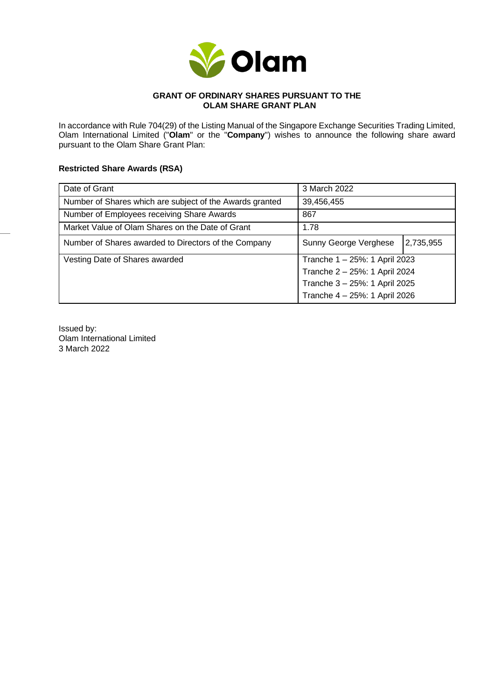

## **GRANT OF ORDINARY SHARES PURSUANT TO THE OLAM SHARE GRANT PLAN**

In accordance with Rule 704(29) of the Listing Manual of the Singapore Exchange Securities Trading Limited, Olam International Limited ("**Olam**" or the "**Company**") wishes to announce the following share award pursuant to the Olam Share Grant Plan:

## **Restricted Share Awards (RSA)**

| Date of Grant                                            | 3 March 2022                  |           |
|----------------------------------------------------------|-------------------------------|-----------|
| Number of Shares which are subject of the Awards granted | 39,456,455                    |           |
| Number of Employees receiving Share Awards               | 867                           |           |
| Market Value of Olam Shares on the Date of Grant         | 1.78                          |           |
| Number of Shares awarded to Directors of the Company     | Sunny George Verghese         | 2,735,955 |
| Vesting Date of Shares awarded                           | Tranche 1 - 25%: 1 April 2023 |           |
|                                                          | Tranche 2 - 25%: 1 April 2024 |           |
|                                                          | Tranche 3 - 25%: 1 April 2025 |           |
|                                                          | Tranche 4 - 25%: 1 April 2026 |           |

Issued by: Olam International Limited 3 March 2022